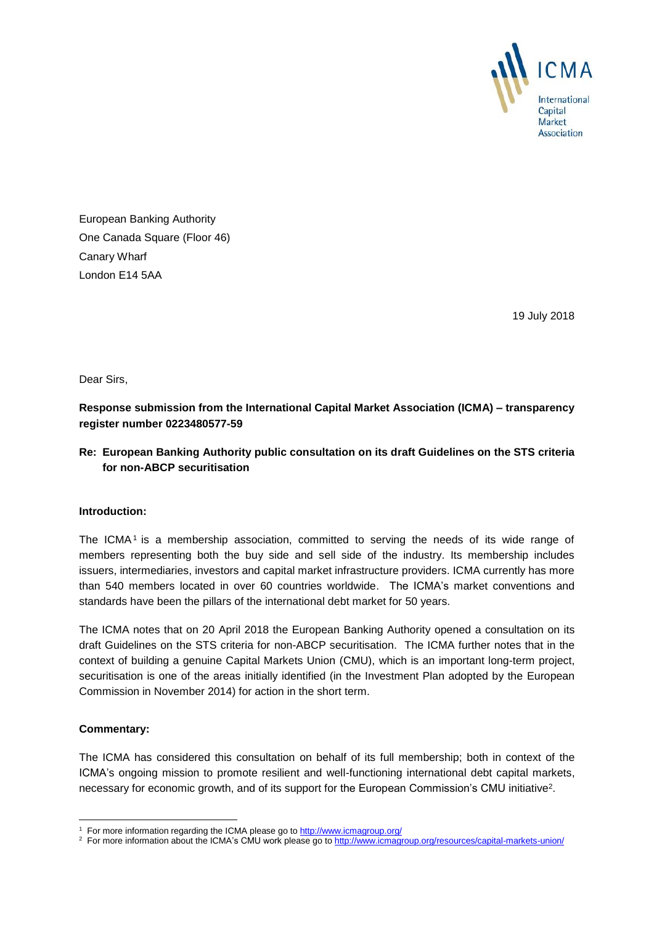

European Banking Authority One Canada Square (Floor 46) Canary Wharf London E14 5AA

19 July 2018

Dear Sirs,

**Response submission from the International Capital Market Association (ICMA) – transparency register number 0223480577-59**

## **Re: European Banking Authority public consultation on its draft Guidelines on the STS criteria for non-ABCP securitisation**

## **Introduction:**

The ICMA<sup>1</sup> is a membership association, committed to serving the needs of its wide range of members representing both the buy side and sell side of the industry. Its membership includes issuers, intermediaries, investors and capital market infrastructure providers. ICMA currently has more than 540 members located in over 60 countries worldwide. The ICMA's market conventions and standards have been the pillars of the international debt market for 50 years.

The ICMA notes that on 20 April 2018 the European Banking Authority opened a consultation on its draft Guidelines on the STS criteria for non-ABCP securitisation. The ICMA further notes that in the context of building a genuine Capital Markets Union (CMU), which is an important long-term project, securitisation is one of the areas initially identified (in the Investment Plan adopted by the European Commission in November 2014) for action in the short term.

## **Commentary:**

-

The ICMA has considered this consultation on behalf of its full membership; both in context of the ICMA's ongoing mission to promote resilient and well-functioning international debt capital markets, necessary for economic growth, and of its support for the European Commission's CMU initiative<sup>2</sup>.

<sup>&</sup>lt;sup>1</sup> For more information regarding the ICMA please go to<http://www.icmagroup.org/>

<sup>&</sup>lt;sup>2</sup> For more information about the ICMA's CMU work please go t[o http://www.icmagroup.org/resources/capital-markets-union/](http://www.icmagroup.org/resources/capital-markets-union/)